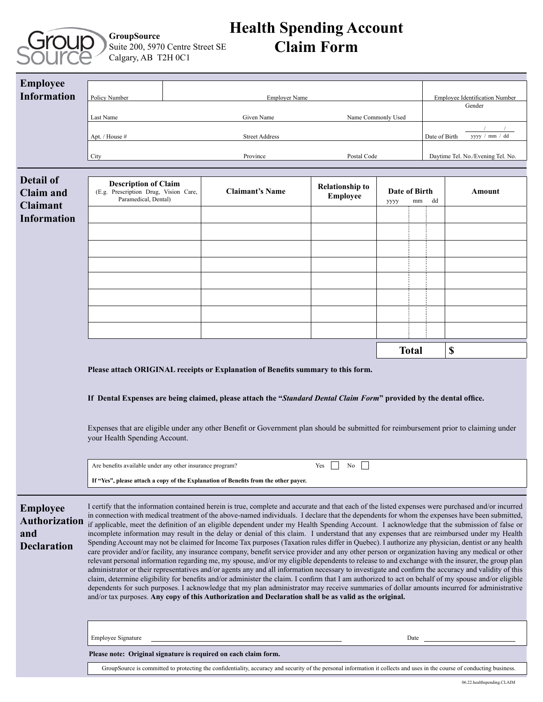

### **GroupSource** Suite 200, 5970 Centre Street SE Calgary, AB T2H 0C1

# **Health Spending Account Claim Form**

| <b>Employee</b><br><b>Information</b>                                         |                                                                                                                                                                                                                                                                                                                                                                                                                                                                                                                                                                                                                                                                                                                                                                                                                                                                                                                                                                                                                                                                                                                                                                                                                                                                                                                                                                                                                                                                                                                                                                                                                                  |  |                        |                                           |                    |                                     |                                                 |                                   |  |
|-------------------------------------------------------------------------------|----------------------------------------------------------------------------------------------------------------------------------------------------------------------------------------------------------------------------------------------------------------------------------------------------------------------------------------------------------------------------------------------------------------------------------------------------------------------------------------------------------------------------------------------------------------------------------------------------------------------------------------------------------------------------------------------------------------------------------------------------------------------------------------------------------------------------------------------------------------------------------------------------------------------------------------------------------------------------------------------------------------------------------------------------------------------------------------------------------------------------------------------------------------------------------------------------------------------------------------------------------------------------------------------------------------------------------------------------------------------------------------------------------------------------------------------------------------------------------------------------------------------------------------------------------------------------------------------------------------------------------|--|------------------------|-------------------------------------------|--------------------|-------------------------------------|-------------------------------------------------|-----------------------------------|--|
|                                                                               | Policy Number                                                                                                                                                                                                                                                                                                                                                                                                                                                                                                                                                                                                                                                                                                                                                                                                                                                                                                                                                                                                                                                                                                                                                                                                                                                                                                                                                                                                                                                                                                                                                                                                                    |  | <b>Employer Name</b>   |                                           |                    |                                     | <b>Employee Identification Number</b><br>Gender |                                   |  |
|                                                                               | Last Name                                                                                                                                                                                                                                                                                                                                                                                                                                                                                                                                                                                                                                                                                                                                                                                                                                                                                                                                                                                                                                                                                                                                                                                                                                                                                                                                                                                                                                                                                                                                                                                                                        |  | Given Name             |                                           | Name Commonly Used |                                     |                                                 | yyyy / mm / dd                    |  |
|                                                                               | Apt. / House #                                                                                                                                                                                                                                                                                                                                                                                                                                                                                                                                                                                                                                                                                                                                                                                                                                                                                                                                                                                                                                                                                                                                                                                                                                                                                                                                                                                                                                                                                                                                                                                                                   |  | <b>Street Address</b>  |                                           |                    |                                     | Date of Birth                                   |                                   |  |
|                                                                               | City                                                                                                                                                                                                                                                                                                                                                                                                                                                                                                                                                                                                                                                                                                                                                                                                                                                                                                                                                                                                                                                                                                                                                                                                                                                                                                                                                                                                                                                                                                                                                                                                                             |  | Province               | Postal Code                               |                    |                                     |                                                 | Daytime Tel. No./Evening Tel. No. |  |
| <b>Detail of</b><br><b>Claim and</b><br><b>Claimant</b><br><b>Information</b> | <b>Description of Claim</b><br>(E.g. Prescription Drug, Vision Care,<br>Paramedical, Dental)                                                                                                                                                                                                                                                                                                                                                                                                                                                                                                                                                                                                                                                                                                                                                                                                                                                                                                                                                                                                                                                                                                                                                                                                                                                                                                                                                                                                                                                                                                                                     |  | <b>Claimant's Name</b> | <b>Relationship to</b><br><b>Employee</b> | уууу               | Date of Birth<br>Amount<br>dd<br>mm |                                                 |                                   |  |
|                                                                               |                                                                                                                                                                                                                                                                                                                                                                                                                                                                                                                                                                                                                                                                                                                                                                                                                                                                                                                                                                                                                                                                                                                                                                                                                                                                                                                                                                                                                                                                                                                                                                                                                                  |  |                        |                                           |                    |                                     |                                                 |                                   |  |
|                                                                               |                                                                                                                                                                                                                                                                                                                                                                                                                                                                                                                                                                                                                                                                                                                                                                                                                                                                                                                                                                                                                                                                                                                                                                                                                                                                                                                                                                                                                                                                                                                                                                                                                                  |  |                        |                                           |                    |                                     |                                                 |                                   |  |
|                                                                               |                                                                                                                                                                                                                                                                                                                                                                                                                                                                                                                                                                                                                                                                                                                                                                                                                                                                                                                                                                                                                                                                                                                                                                                                                                                                                                                                                                                                                                                                                                                                                                                                                                  |  |                        |                                           |                    |                                     |                                                 |                                   |  |
|                                                                               |                                                                                                                                                                                                                                                                                                                                                                                                                                                                                                                                                                                                                                                                                                                                                                                                                                                                                                                                                                                                                                                                                                                                                                                                                                                                                                                                                                                                                                                                                                                                                                                                                                  |  |                        |                                           |                    |                                     |                                                 |                                   |  |
|                                                                               |                                                                                                                                                                                                                                                                                                                                                                                                                                                                                                                                                                                                                                                                                                                                                                                                                                                                                                                                                                                                                                                                                                                                                                                                                                                                                                                                                                                                                                                                                                                                                                                                                                  |  |                        |                                           |                    |                                     |                                                 |                                   |  |
|                                                                               |                                                                                                                                                                                                                                                                                                                                                                                                                                                                                                                                                                                                                                                                                                                                                                                                                                                                                                                                                                                                                                                                                                                                                                                                                                                                                                                                                                                                                                                                                                                                                                                                                                  |  |                        |                                           |                    |                                     |                                                 |                                   |  |
|                                                                               |                                                                                                                                                                                                                                                                                                                                                                                                                                                                                                                                                                                                                                                                                                                                                                                                                                                                                                                                                                                                                                                                                                                                                                                                                                                                                                                                                                                                                                                                                                                                                                                                                                  |  |                        |                                           |                    |                                     |                                                 |                                   |  |
|                                                                               | <b>Total</b><br>\$                                                                                                                                                                                                                                                                                                                                                                                                                                                                                                                                                                                                                                                                                                                                                                                                                                                                                                                                                                                                                                                                                                                                                                                                                                                                                                                                                                                                                                                                                                                                                                                                               |  |                        |                                           |                    |                                     |                                                 |                                   |  |
|                                                                               | Please attach ORIGINAL receipts or Explanation of Benefits summary to this form.                                                                                                                                                                                                                                                                                                                                                                                                                                                                                                                                                                                                                                                                                                                                                                                                                                                                                                                                                                                                                                                                                                                                                                                                                                                                                                                                                                                                                                                                                                                                                 |  |                        |                                           |                    |                                     |                                                 |                                   |  |
|                                                                               | If Dental Expenses are being claimed, please attach the "Standard Dental Claim Form" provided by the dental office.                                                                                                                                                                                                                                                                                                                                                                                                                                                                                                                                                                                                                                                                                                                                                                                                                                                                                                                                                                                                                                                                                                                                                                                                                                                                                                                                                                                                                                                                                                              |  |                        |                                           |                    |                                     |                                                 |                                   |  |
|                                                                               | Expenses that are eligible under any other Benefit or Government plan should be submitted for reimbursement prior to claiming under<br>your Health Spending Account.                                                                                                                                                                                                                                                                                                                                                                                                                                                                                                                                                                                                                                                                                                                                                                                                                                                                                                                                                                                                                                                                                                                                                                                                                                                                                                                                                                                                                                                             |  |                        |                                           |                    |                                     |                                                 |                                   |  |
|                                                                               | $\mathbb{R}$<br>Are benefits available under any other insurance program?<br>No<br>Yes<br>If "Yes", please attach a copy of the Explanation of Benefits from the other payer.                                                                                                                                                                                                                                                                                                                                                                                                                                                                                                                                                                                                                                                                                                                                                                                                                                                                                                                                                                                                                                                                                                                                                                                                                                                                                                                                                                                                                                                    |  |                        |                                           |                    |                                     |                                                 |                                   |  |
| <b>Employee</b><br>Authorization<br>and<br><b>Declaration</b>                 | I certify that the information contained herein is true, complete and accurate and that each of the listed expenses were purchased and/or incurred<br>in connection with medical treatment of the above-named individuals. I declare that the dependents for whom the expenses have been submitted,<br>if applicable, meet the definition of an eligible dependent under my Health Spending Account. I acknowledge that the submission of false or<br>incomplete information may result in the delay or denial of this claim. I understand that any expenses that are reimbursed under my Health<br>Spending Account may not be claimed for Income Tax purposes (Taxation rules differ in Quebec). I authorize any physician, dentist or any health<br>care provider and/or facility, any insurance company, benefit service provider and any other person or organization having any medical or other<br>relevant personal information regarding me, my spouse, and/or my eligible dependents to release to and exchange with the insurer, the group plan<br>administrator or their representatives and/or agents any and all information necessary to investigate and confirm the accuracy and validity of this<br>claim, determine eligibility for benefits and/or administer the claim. I confirm that I am authorized to act on behalf of my spouse and/or eligible<br>dependents for such purposes. I acknowledge that my plan administrator may receive summaries of dollar amounts incurred for administrative<br>and/or tax purposes. Any copy of this Authorization and Declaration shall be as valid as the original. |  |                        |                                           |                    |                                     |                                                 |                                   |  |
|                                                                               | <b>Employee Signature</b><br>Date                                                                                                                                                                                                                                                                                                                                                                                                                                                                                                                                                                                                                                                                                                                                                                                                                                                                                                                                                                                                                                                                                                                                                                                                                                                                                                                                                                                                                                                                                                                                                                                                |  |                        |                                           |                    |                                     |                                                 |                                   |  |
|                                                                               | Please note: Original signature is required on each claim form.<br>GroupSource is committed to protecting the confidentiality, accuracy and security of the personal information it collects and uses in the course of conducting business.                                                                                                                                                                                                                                                                                                                                                                                                                                                                                                                                                                                                                                                                                                                                                                                                                                                                                                                                                                                                                                                                                                                                                                                                                                                                                                                                                                                      |  |                        |                                           |                    |                                     |                                                 |                                   |  |